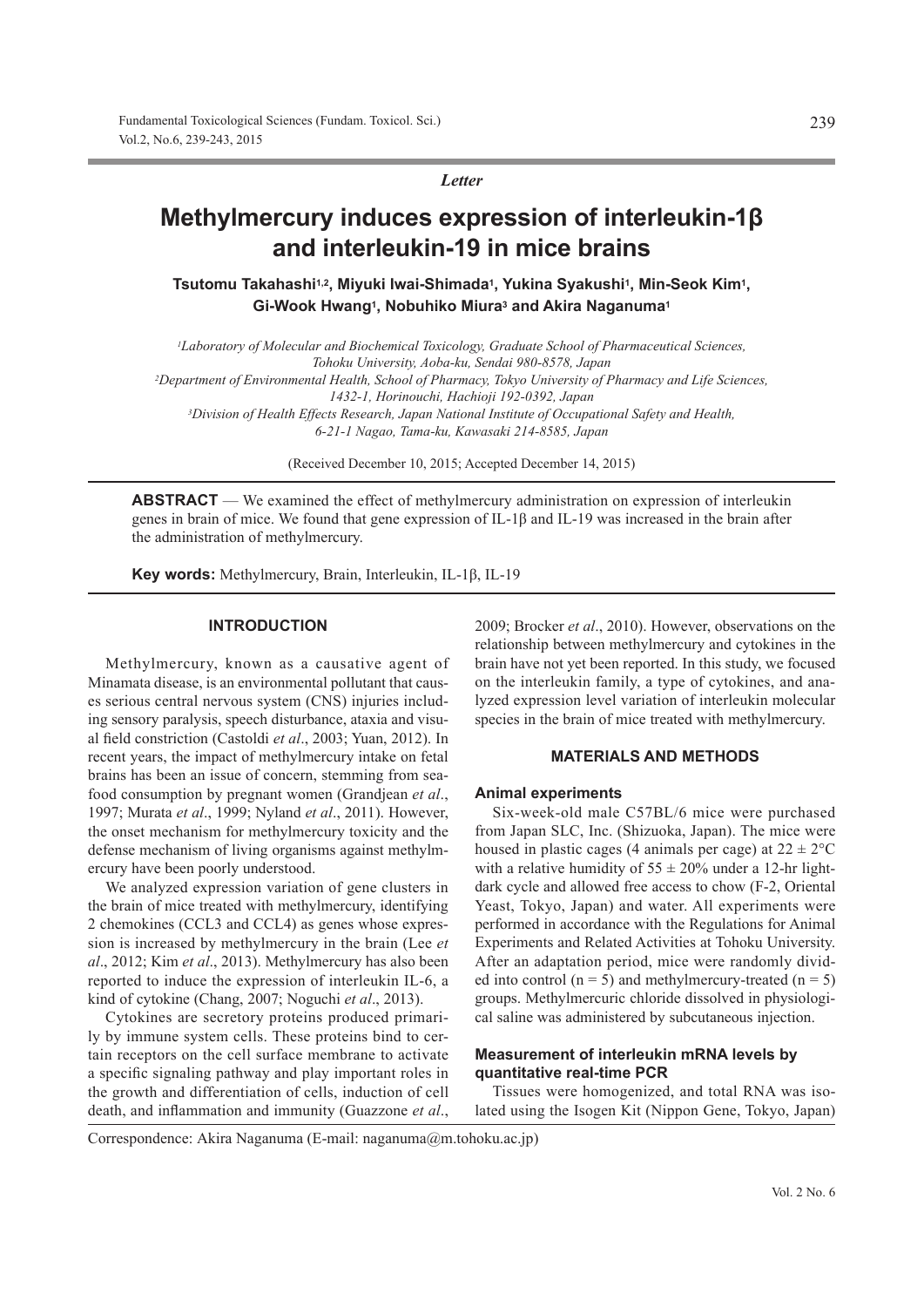*Letter*

# **Methylmercury induces expression of interleukin-1β and interleukin-19 in mice brains**

**Tsutomu Takahashi1,2, Miyuki Iwai-Shimada1, Yukina Syakushi1, Min-Seok Kim1, Gi-Wook Hwang1, Nobuhiko Miura3 and Akira Naganuma1**

*1Laboratory of Molecular and Biochemical Toxicology, Graduate School of Pharmaceutical Sciences, Tohoku University, Aoba-ku, Sendai 980-8578, Japan 2Department of Environmental Health, School of Pharmacy, Tokyo University of Pharmacy and Life Sciences, 1432-1, Horinouchi, Hachioji 192-0392, Japan 3Division of Health Effects Research, Japan National Institute of Occupational Safety and Health, 6-21-1 Nagao, Tama-ku, Kawasaki 214-8585, Japan*

(Received December 10, 2015; Accepted December 14, 2015)

**ABSTRACT** — We examined the effect of methylmercury administration on expression of interleukin genes in brain of mice. We found that gene expression of IL-1β and IL-19 was increased in the brain after the administration of methylmercury.

**Key words:** Methylmercury, Brain, Interleukin, IL-1β, IL-19

#### **INTRODUCTION**

Methylmercury, known as a causative agent of Minamata disease, is an environmental pollutant that causes serious central nervous system (CNS) injuries including sensory paralysis, speech disturbance, ataxia and visual field constriction (Castoldi *et al*., 2003; Yuan, 2012). In recent years, the impact of methylmercury intake on fetal brains has been an issue of concern, stemming from seafood consumption by pregnant women (Grandjean *et al*., 1997; Murata *et al*., 1999; Nyland *et al*., 2011). However, the onset mechanism for methylmercury toxicity and the defense mechanism of living organisms against methylmercury have been poorly understood.

We analyzed expression variation of gene clusters in the brain of mice treated with methylmercury, identifying 2 chemokines (CCL3 and CCL4) as genes whose expression is increased by methylmercury in the brain (Lee *et al*., 2012; Kim *et al*., 2013). Methylmercury has also been reported to induce the expression of interleukin IL-6, a kind of cytokine (Chang, 2007; Noguchi *et al*., 2013).

Cytokines are secretory proteins produced primarily by immune system cells. These proteins bind to certain receptors on the cell surface membrane to activate a specific signaling pathway and play important roles in the growth and differentiation of cells, induction of cell death, and inflammation and immunity (Guazzone *et al*., 2009; Brocker *et al*., 2010). However, observations on the relationship between methylmercury and cytokines in the brain have not yet been reported. In this study, we focused on the interleukin family, a type of cytokines, and analyzed expression level variation of interleukin molecular species in the brain of mice treated with methylmercury.

## **MATERIALS AND METHODS**

#### **Animal experiments**

Six-week-old male C57BL/6 mice were purchased from Japan SLC, Inc. (Shizuoka, Japan). The mice were housed in plastic cages (4 animals per cage) at  $22 \pm 2^{\circ}$ C with a relative humidity of  $55 \pm 20\%$  under a 12-hr lightdark cycle and allowed free access to chow (F-2, Oriental Yeast, Tokyo, Japan) and water. All experiments were performed in accordance with the Regulations for Animal Experiments and Related Activities at Tohoku University. After an adaptation period, mice were randomly divided into control ( $n = 5$ ) and methylmercury-treated ( $n = 5$ ) groups. Methylmercuric chloride dissolved in physiological saline was administered by subcutaneous injection.

## **Measurement of interleukin mRNA levels by quantitative real-time PCR**

Tissues were homogenized, and total RNA was isolated using the Isogen Kit (Nippon Gene, Tokyo, Japan)

Correspondence: Akira Naganuma (E-mail: naganuma@m.tohoku.ac.jp)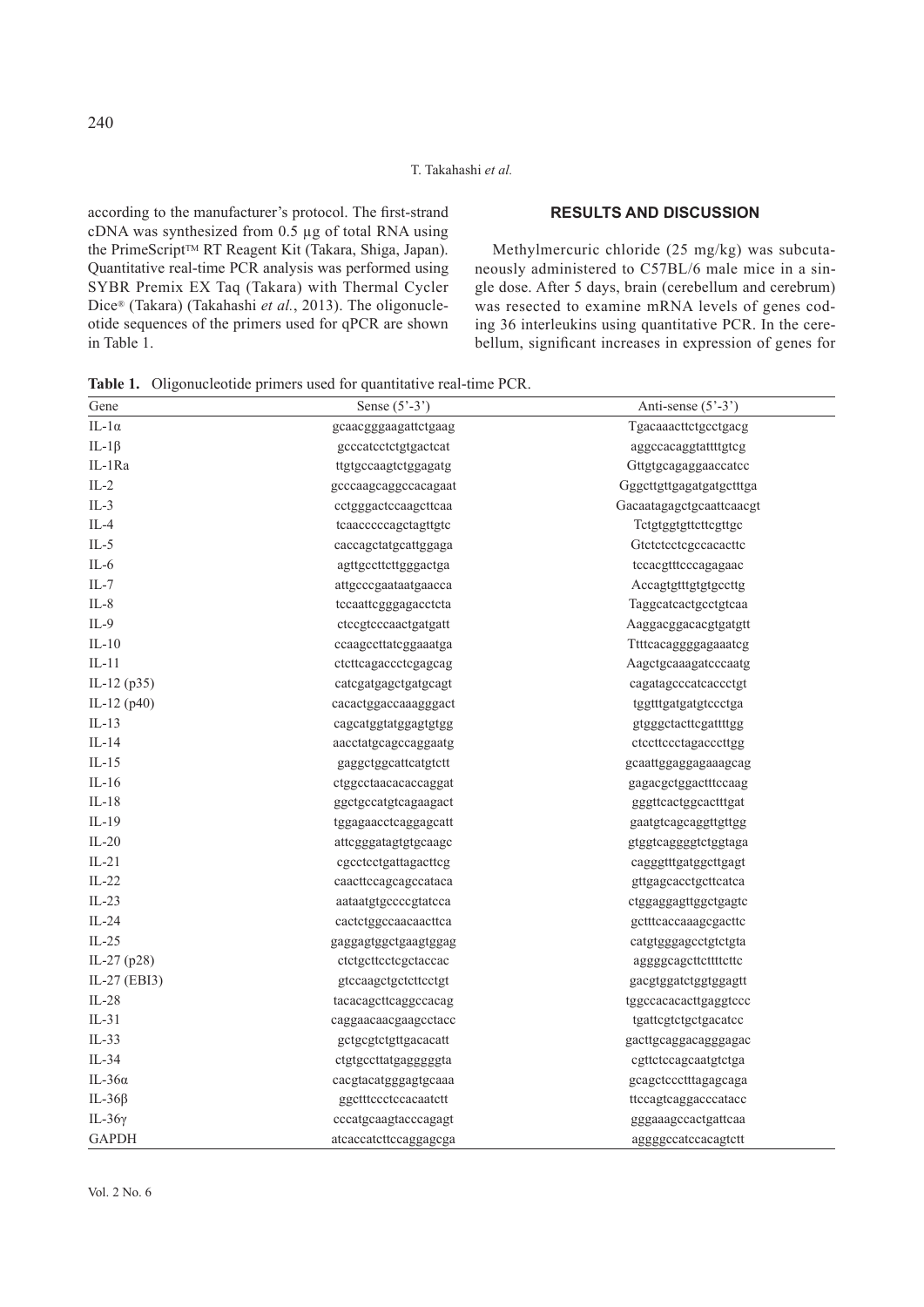#### T. Takahashi *et al.*

according to the manufacturer's protocol. The first-strand cDNA was synthesized from 0.5 μg of total RNA using the PrimeScript™ RT Reagent Kit (Takara, Shiga, Japan). Quantitative real-time PCR analysis was performed using SYBR Premix EX Taq (Takara) with Thermal Cycler Dice® (Takara) (Takahashi *et al.*, 2013). The oligonucleotide sequences of the primers used for qPCR are shown in Table 1.

## **RESULTS AND DISCUSSION**

Methylmercuric chloride (25 mg/kg) was subcutaneously administered to C57BL/6 male mice in a single dose. After 5 days, brain (cerebellum and cerebrum) was resected to examine mRNA levels of genes coding 36 interleukins using quantitative PCR. In the cerebellum, significant increases in expression of genes for

**Table 1.** Oligonucleotide primers used for quantitative real-time PCR.

| Gene           | Sense $(5^{\degree}\text{-}3^{\degree})$ | Anti-sense $(5'$ -3')    |
|----------------|------------------------------------------|--------------------------|
| IL-1 $\alpha$  | gcaacgggaagattctgaag                     | Tgacaaacttctgcctgacg     |
| IL-1 $\beta$   | geccatectetgtgacteat                     | aggccacaggtattttgtcg     |
| IL-1Ra         | ttgtgccaagtctggagatg                     | Gttgtgcagaggaaccatcc     |
| $IL-2$         | gcccaagcaggccacagaat                     | Gggcttgttgagatgatgctttga |
| $IL-3$         | cctgggactccaagcttcaa                     | Gacaatagagctgcaattcaacgt |
| $IL-4$         | teaacceccagetagttgtc                     | Tetgtggtgttettegttge     |
| $IL-5$         | caccagctatgcattggaga                     | Gtctctcctcgccacacttc     |
| $IL-6$         | agttgccttcttgggactga                     | tccacgtttcccagagaac      |
| IL-7           | attgeeegaataatgaaeea                     | Accagtgtttgtgtgccttg     |
| $IL-8$         | tccaattcgggagacctcta                     | Taggcatcactgcctgtcaa     |
| $IL-9$         | ctccgtcccaactgatgatt                     | Aaggacggacacgtgatgtt     |
| $IL-10$        | ccaagccttatcggaaatga                     | Titteacaggggagaaateg     |
| $IL-11$        | ctcttcagaccctcgagcag                     | Aagctgcaaagatcccaatg     |
| IL-12 (p35)    | catcgatgagctgatgcagt                     | cagatagcccatcaccctgt     |
| IL-12 (p40)    | cacactggaccaaagggact                     | tggtttgatgatgtccctga     |
| $IL-13$        | cagcatggtatggagtgtgg                     | gtgggctacttcgattttgg     |
| $IL-14$        | aacctatgcagccaggaatg                     | ctccttccctagacccttgg     |
| $IL-15$        | gaggctggcattcatgtctt                     | gcaattggaggagaaagcag     |
| $IL-16$        | ctggcctaacacaccaggat                     | gagacgctggactttccaag     |
| $IL-18$        | ggctgccatgtcagaagact                     | gggttcactggcactttgat     |
| $IL-19$        | tggagaacctcaggagcatt                     | gaatgtcagcaggttgttgg     |
| $IL-20$        | attcgggatagtgtgcaagc                     | gtggtcaggggtctggtaga     |
| $IL-21$        | cgcctcctgattagacttcg                     | cagggtttgatggcttgagt     |
| $IL-22$        | caacttccagcagccataca                     | gttgagcacctgcttcatca     |
| $IL-23$        | aataatgtgccccgtatcca                     | ctggaggagttggctgagtc     |
| $IL-24$        | cactetggccaacaacttca                     | gettteaceaaagegactte     |
| $IL-25$        | gaggagtggctgaagtggag                     | catgtgggagcctgtctgta     |
| IL-27 (p28)    | ctctgcttcctcgctaccac                     | agggggagettettttette     |
| IL-27 (EBI3)   | gtccaagctgctcttcctgt                     | gacgtggatctggtggagtt     |
| $IL-28$        | tacacagettcaggccacag                     | tggccacacacttgaggtccc    |
| $IL-31$        | caggaacaacgaagcctacc                     | tgattegtetgetgaeatee     |
| $IL-33$        | gctgcgtctgttgacacatt                     | gacttgcaggacagggagac     |
| $IL-34$        | ctgtgccttatgagggggta                     | cgttctccagcaatgtctga     |
| IL-36 $\alpha$ | cacgtacatgggagtgcaaa                     | gcagctccctttagagcaga     |
| IL-36 $\beta$  | ggctttccctccacaatctt                     | ttccagtcaggacccatacc     |
| IL- $36\gamma$ | cccatgcaagtacccagagt                     | gggaaagccactgattcaa      |
| <b>GAPDH</b>   | atcaccatcttccaggagcga                    | aggggccatccacagtctt      |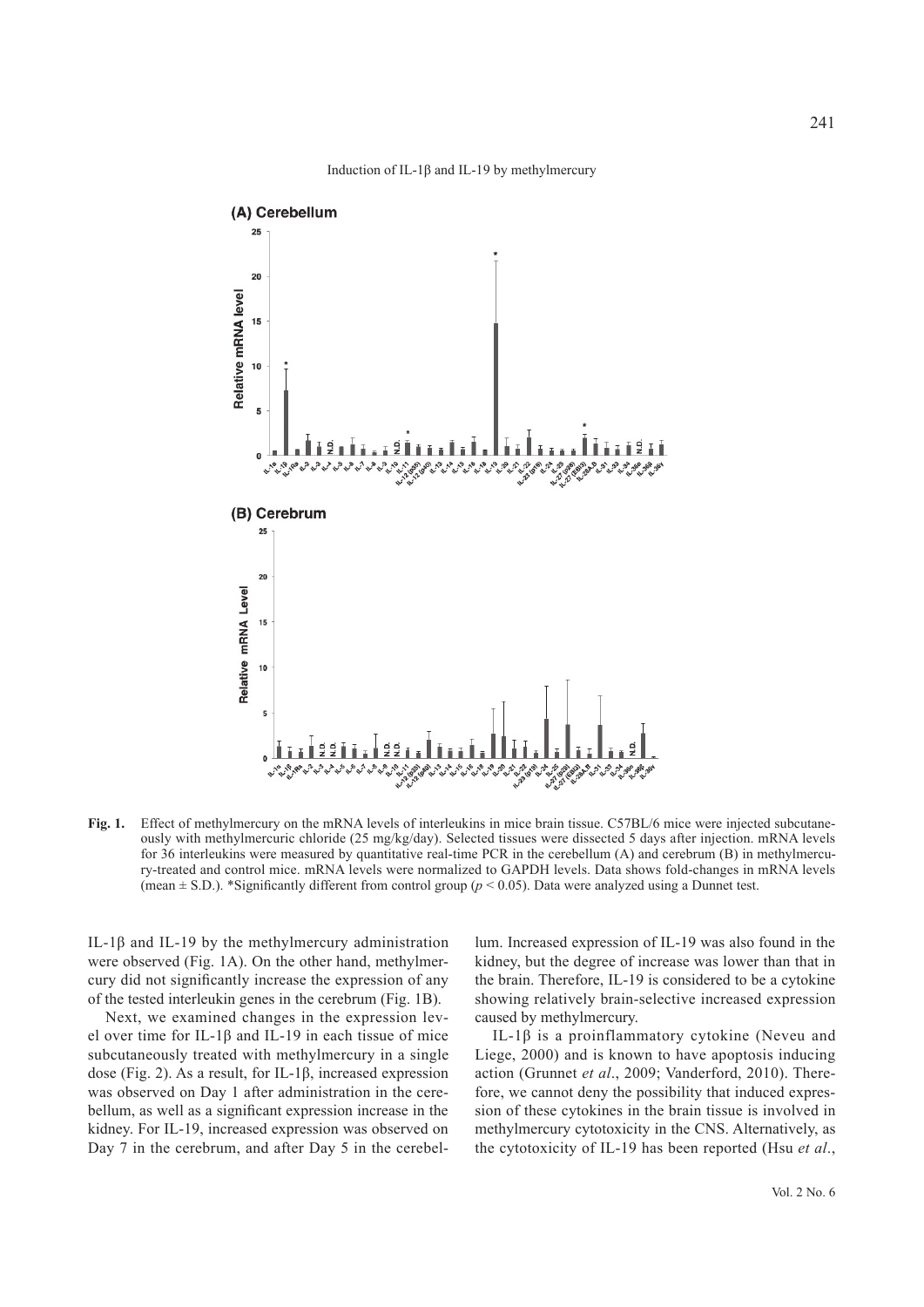



**Fig. 1.** Effect of methylmercury on the mRNA levels of interleukins in mice brain tissue. C57BL/6 mice were injected subcutaneously with methylmercuric chloride (25 mg/kg/day). Selected tissues were dissected 5 days after injection. mRNA levels for 36 interleukins were measured by quantitative real-time PCR in the cerebellum (A) and cerebrum (B) in methylmercury-treated and control mice. mRNA levels were normalized to GAPDH levels. Data shows fold-changes in mRNA levels (mean  $\pm$  S.D.). \*Significantly different from control group ( $p$  < 0.05). Data were analyzed using a Dunnet test.

IL-1β and IL-19 by the methylmercury administration were observed (Fig. 1A). On the other hand, methylmercury did not significantly increase the expression of any of the tested interleukin genes in the cerebrum (Fig. 1B).

Next, we examined changes in the expression level over time for IL-1 $\beta$  and IL-19 in each tissue of mice subcutaneously treated with methylmercury in a single dose (Fig. 2). As a result, for IL-1β, increased expression was observed on Day 1 after administration in the cerebellum, as well as a significant expression increase in the kidney. For IL-19, increased expression was observed on Day 7 in the cerebrum, and after Day 5 in the cerebellum. Increased expression of IL-19 was also found in the kidney, but the degree of increase was lower than that in the brain. Therefore, IL-19 is considered to be a cytokine showing relatively brain-selective increased expression caused by methylmercury.

IL-1β is a proinflammatory cytokine (Neveu and Liege, 2000) and is known to have apoptosis inducing action (Grunnet *et al*., 2009; Vanderford, 2010). Therefore, we cannot deny the possibility that induced expression of these cytokines in the brain tissue is involved in methylmercury cytotoxicity in the CNS. Alternatively, as the cytotoxicity of IL-19 has been reported (Hsu *et al*.,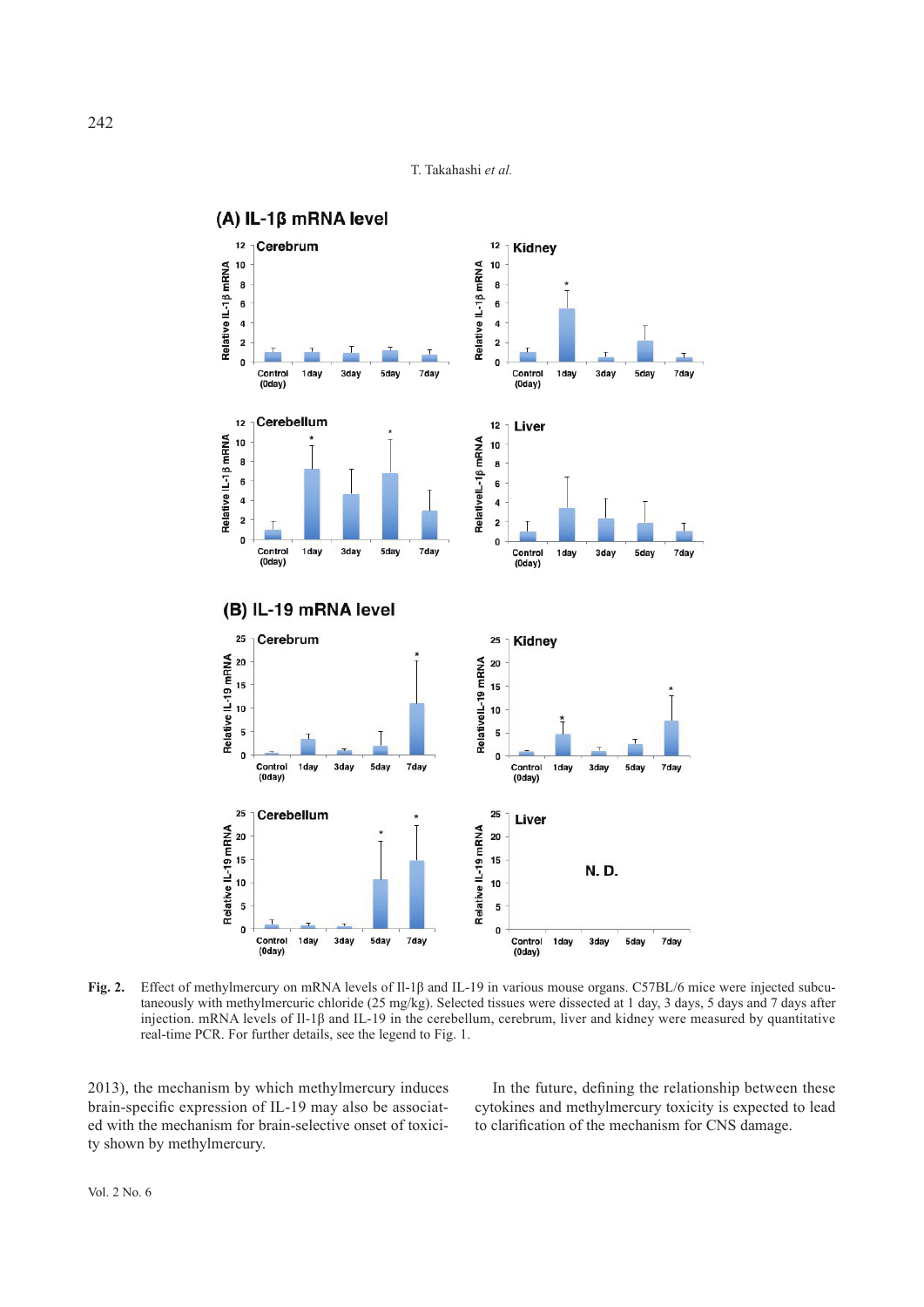



**Fig. 2.** Effect of methylmercury on mRNA levels of Il-1β and IL-19 in various mouse organs. C57BL/6 mice were injected subcutaneously with methylmercuric chloride (25 mg/kg). Selected tissues were dissected at 1 day, 3 days, 5 days and 7 days after injection. mRNA levels of II-1 $\beta$  and IL-19 in the cerebellum, cerebrum, liver and kidney were measured by quantitative real-time PCR. For further details, see the legend to Fig. 1.

2013), the mechanism by which methylmercury induces brain-specific expression of IL-19 may also be associated with the mechanism for brain-selective onset of toxicity shown by methylmercury.

In the future, defining the relationship between these cytokines and methylmercury toxicity is expected to lead to clarification of the mechanism for CNS damage.

242